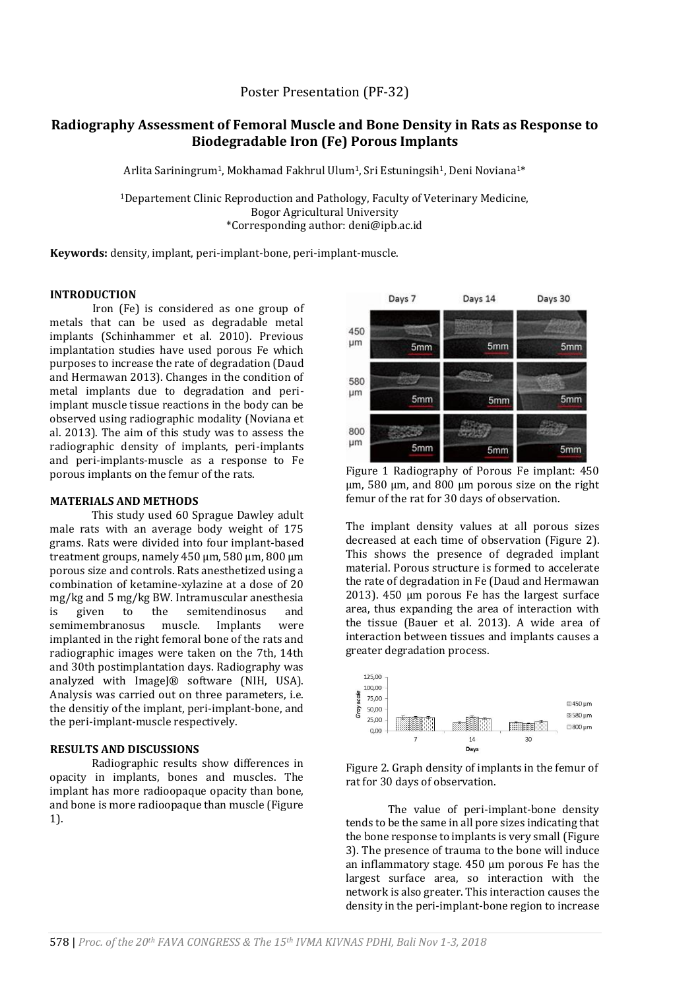## Poster Presentation (PF-32)

# **Radiography Assessment of Femoral Muscle and Bone Density in Rats as Response to Biodegradable Iron (Fe) Porous Implants**

Arlita Sariningrum<sup>1</sup>, Mokhamad Fakhrul Ulum<sup>1</sup>, Sri Estuningsih<sup>1</sup>, Deni Noviana<sup>1\*</sup>

<sup>1</sup>Departement Clinic Reproduction and Pathology, Faculty of Veterinary Medicine, Bogor Agricultural University \*Corresponding author: deni@ipb.ac.id

**Keywords:** density, implant, peri-implant-bone, peri-implant-muscle.

## **INTRODUCTION**

Iron (Fe) is considered as one group of metals that can be used as degradable metal implants (Schinhammer et al. 2010). Previous implantation studies have used porous Fe which purposes to increase the rate of degradation (Daud and Hermawan 2013). Changes in the condition of metal implants due to degradation and periimplant muscle tissue reactions in the body can be observed using radiographic modality (Noviana et al. 2013). The aim of this study was to assess the radiographic density of implants, peri-implants and peri-implants-muscle as a response to Fe porous implants on the femur of the rats.

#### **MATERIALS AND METHODS**

This study used 60 Sprague Dawley adult male rats with an average body weight of 175 grams. Rats were divided into four implant-based treatment groups, namely 450 µm, 580 µm, 800 µm porous size and controls. Rats anesthetized using a combination of ketamine-xylazine at a dose of 20 mg/kg and 5 mg/kg BW. Intramuscular anesthesia is given to the semitendinosus and semimembranosus muscle. Implants were implanted in the right femoral bone of the rats and radiographic images were taken on the 7th, 14th and 30th postimplantation days. Radiography was analyzed with ImageJ® software (NIH, USA). Analysis was carried out on three parameters, i.e. the densitiy of the implant, peri-implant-bone, and the peri-implant-muscle respectively.

## **RESULTS AND DISCUSSIONS**

Radiographic results show differences in opacity in implants, bones and muscles. The implant has more radioopaque opacity than bone, and bone is more radioopaque than muscle (Figure 1).



Figure 1 Radiography of Porous Fe implant: 450 µm, 580 µm, and 800 µm porous size on the right femur of the rat for 30 days of observation.

The implant density values at all porous sizes decreased at each time of observation (Figure 2). This shows the presence of degraded implant material. Porous structure is formed to accelerate the rate of degradation in Fe (Daud and Hermawan 2013). 450 µm porous Fe has the largest surface area, thus expanding the area of interaction with the tissue (Bauer et al. 2013). A wide area of interaction between tissues and implants causes a greater degradation process.





The value of peri-implant-bone density tends to be the same in all pore sizes indicating that the bone response to implants is very small (Figure 3). The presence of trauma to the bone will induce an inflammatory stage. 450 µm porous Fe has the largest surface area, so interaction with the network is also greater. This interaction causes the density in the peri-implant-bone region to increase